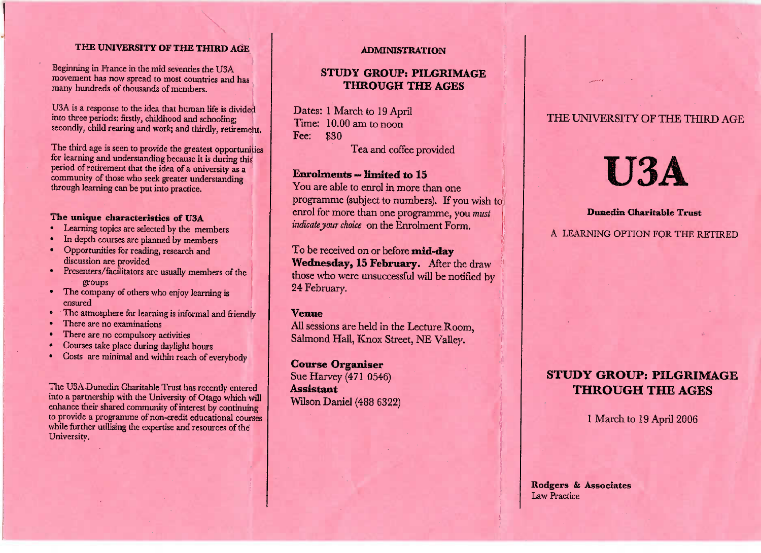#### **THE UNIVERSITY OF THE THIRD AGE**

Beginning in France in the mid seventies the USA movement has now spread to most countries and has many hundreds of thousands of members.

U3A is a response to the idea that human life is divided<br>into three periods: firstly, childhood and schooling: into three periods: firstly, childhood and schooling; secondly, child rearing and work; and thirdly, retirement.

The third age is seen to provide the greatest opportunities for learning and understanding because it is during this period of retirement that the idea of a university as a person of the single retirement that the idea of a university as a community of those who seek greater understandingthrough learning can be put into practice.

- **The unique characteristics of USA**
- In depth courses are planned by members
- Opportunities for reading, research and discussion are provided
- Presenters/facilitators are usually members of the
- The company of others who enjoy learning is
- The atmosphere for learning is informal and friendly
- 
- **There are no compulsory as**
- There are no compulsory activities
- Courses take place during daylight hours Costs are minimal and within reach of everybody

The USA Duncative Character Trust has recently entered in enhance their shared community of interest by continuing enance their shared community of interest by community or provide a programme of non-credit educational courses to provide a programme of non-credit educational courses while further uniform the expertise and resources of the University.

#### **ADMINISTRATION**

# **STUDY GROUP: PILGRIMAGETHROUGH THE AGES**

Dates: 1 March to 19 AprilTime: 10.00 am to noonFee: \$30

Tea and coffee provided

#### **Enrolments — limited to 15**

 You are able to enrol in more than one programme (subject to numbers). If you wish toenrol for more than one programme, you *mustindicate your choice* on the Enrolment Form,

To be received on or before **mid-dayWednesday, 13 February.** After the draw those who were unsuccessful will be notified by24 February.

#### **Venue**

 All sessions are held in the Lecture Room,Salmond Hall, Knox Street, NE Valley.

**Course Organiser** $\frac{3}{100}$  (471 0546)

**Assistant**Wlson Daniel (488 6322)

# THE UNIVERSITY OF THE THIRD AGE

# **U3A**

#### **Dunedin Charitable Trust**

A LEARNING OPTION FOR THE RETIRED

# **STUDY GROUP: PILGRIMAGETHROUGH THE AGES**

1 March to 19 April 2006

Rodgers **& Associates**Law Practice